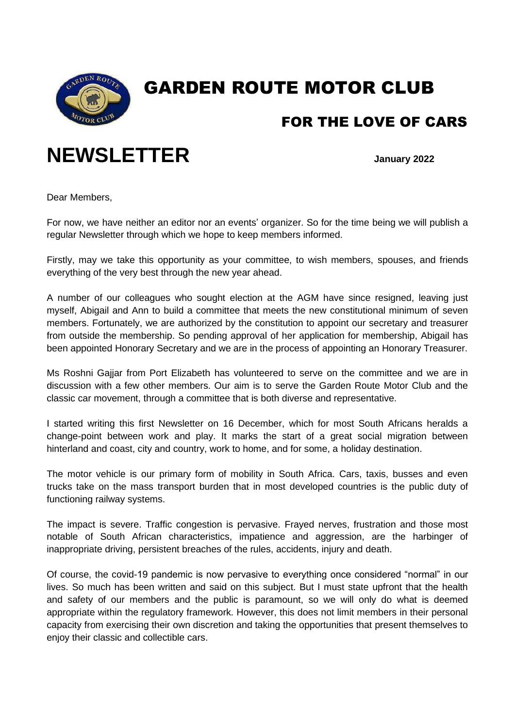

## GARDEN ROUTE MOTOR CLUB

### FOR THE LOVE OF CARS

# **NEWSLETTER January 2022**

Dear Members,

For now, we have neither an editor nor an events' organizer. So for the time being we will publish a regular Newsletter through which we hope to keep members informed.

Firstly, may we take this opportunity as your committee, to wish members, spouses, and friends everything of the very best through the new year ahead.

A number of our colleagues who sought election at the AGM have since resigned, leaving just myself, Abigail and Ann to build a committee that meets the new constitutional minimum of seven members. Fortunately, we are authorized by the constitution to appoint our secretary and treasurer from outside the membership. So pending approval of her application for membership, Abigail has been appointed Honorary Secretary and we are in the process of appointing an Honorary Treasurer.

Ms Roshni Gajjar from Port Elizabeth has volunteered to serve on the committee and we are in discussion with a few other members. Our aim is to serve the Garden Route Motor Club and the classic car movement, through a committee that is both diverse and representative.

I started writing this first Newsletter on 16 December, which for most South Africans heralds a change-point between work and play. It marks the start of a great social migration between hinterland and coast, city and country, work to home, and for some, a holiday destination.

The motor vehicle is our primary form of mobility in South Africa. Cars, taxis, busses and even trucks take on the mass transport burden that in most developed countries is the public duty of functioning railway systems.

The impact is severe. Traffic congestion is pervasive. Frayed nerves, frustration and those most notable of South African characteristics, impatience and aggression, are the harbinger of inappropriate driving, persistent breaches of the rules, accidents, injury and death.

Of course, the covid-19 pandemic is now pervasive to everything once considered "normal" in our lives. So much has been written and said on this subject. But I must state upfront that the health and safety of our members and the public is paramount, so we will only do what is deemed appropriate within the regulatory framework. However, this does not limit members in their personal capacity from exercising their own discretion and taking the opportunities that present themselves to enjoy their classic and collectible cars.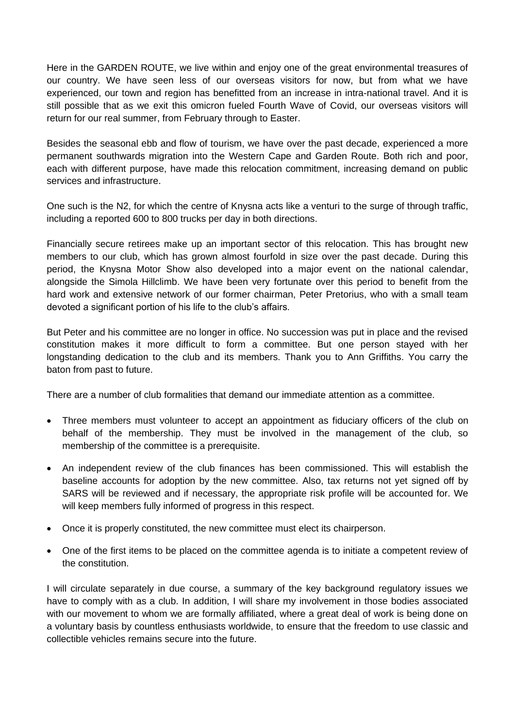Here in the GARDEN ROUTE, we live within and enjoy one of the great environmental treasures of our country. We have seen less of our overseas visitors for now, but from what we have experienced, our town and region has benefitted from an increase in intra-national travel. And it is still possible that as we exit this omicron fueled Fourth Wave of Covid, our overseas visitors will return for our real summer, from February through to Easter.

Besides the seasonal ebb and flow of tourism, we have over the past decade, experienced a more permanent southwards migration into the Western Cape and Garden Route. Both rich and poor, each with different purpose, have made this relocation commitment, increasing demand on public services and infrastructure.

One such is the N2, for which the centre of Knysna acts like a venturi to the surge of through traffic, including a reported 600 to 800 trucks per day in both directions.

Financially secure retirees make up an important sector of this relocation. This has brought new members to our club, which has grown almost fourfold in size over the past decade. During this period, the Knysna Motor Show also developed into a major event on the national calendar, alongside the Simola Hillclimb. We have been very fortunate over this period to benefit from the hard work and extensive network of our former chairman, Peter Pretorius, who with a small team devoted a significant portion of his life to the club's affairs.

But Peter and his committee are no longer in office. No succession was put in place and the revised constitution makes it more difficult to form a committee. But one person stayed with her longstanding dedication to the club and its members. Thank you to Ann Griffiths. You carry the baton from past to future.

There are a number of club formalities that demand our immediate attention as a committee.

- Three members must volunteer to accept an appointment as fiduciary officers of the club on behalf of the membership. They must be involved in the management of the club, so membership of the committee is a prerequisite.
- An independent review of the club finances has been commissioned. This will establish the baseline accounts for adoption by the new committee. Also, tax returns not yet signed off by SARS will be reviewed and if necessary, the appropriate risk profile will be accounted for. We will keep members fully informed of progress in this respect.
- Once it is properly constituted, the new committee must elect its chairperson.
- One of the first items to be placed on the committee agenda is to initiate a competent review of the constitution.

I will circulate separately in due course, a summary of the key background regulatory issues we have to comply with as a club. In addition, I will share my involvement in those bodies associated with our movement to whom we are formally affiliated, where a great deal of work is being done on a voluntary basis by countless enthusiasts worldwide, to ensure that the freedom to use classic and collectible vehicles remains secure into the future.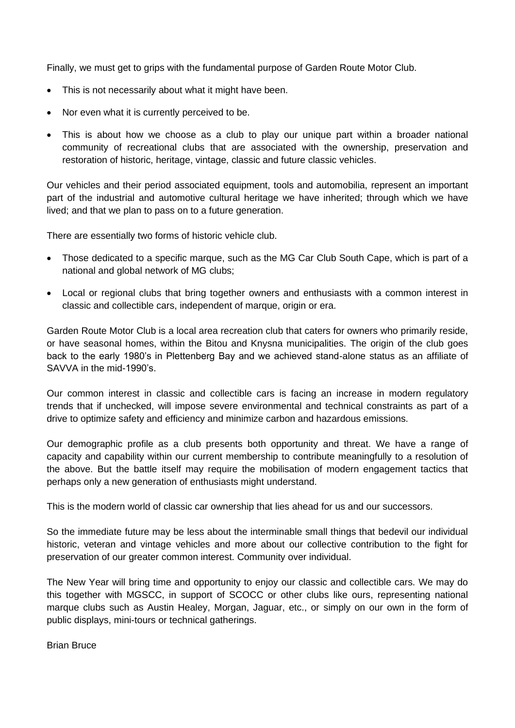Finally, we must get to grips with the fundamental purpose of Garden Route Motor Club.

- This is not necessarily about what it might have been.
- Nor even what it is currently perceived to be.
- This is about how we choose as a club to play our unique part within a broader national community of recreational clubs that are associated with the ownership, preservation and restoration of historic, heritage, vintage, classic and future classic vehicles.

Our vehicles and their period associated equipment, tools and automobilia, represent an important part of the industrial and automotive cultural heritage we have inherited; through which we have lived; and that we plan to pass on to a future generation.

There are essentially two forms of historic vehicle club.

- Those dedicated to a specific marque, such as the MG Car Club South Cape, which is part of a national and global network of MG clubs;
- Local or regional clubs that bring together owners and enthusiasts with a common interest in classic and collectible cars, independent of marque, origin or era.

Garden Route Motor Club is a local area recreation club that caters for owners who primarily reside, or have seasonal homes, within the Bitou and Knysna municipalities. The origin of the club goes back to the early 1980's in Plettenberg Bay and we achieved stand-alone status as an affiliate of SAVVA in the mid-1990's.

Our common interest in classic and collectible cars is facing an increase in modern regulatory trends that if unchecked, will impose severe environmental and technical constraints as part of a drive to optimize safety and efficiency and minimize carbon and hazardous emissions.

Our demographic profile as a club presents both opportunity and threat. We have a range of capacity and capability within our current membership to contribute meaningfully to a resolution of the above. But the battle itself may require the mobilisation of modern engagement tactics that perhaps only a new generation of enthusiasts might understand.

This is the modern world of classic car ownership that lies ahead for us and our successors.

So the immediate future may be less about the interminable small things that bedevil our individual historic, veteran and vintage vehicles and more about our collective contribution to the fight for preservation of our greater common interest. Community over individual.

The New Year will bring time and opportunity to enjoy our classic and collectible cars. We may do this together with MGSCC, in support of SCOCC or other clubs like ours, representing national marque clubs such as Austin Healey, Morgan, Jaguar, etc., or simply on our own in the form of public displays, mini-tours or technical gatherings.

Brian Bruce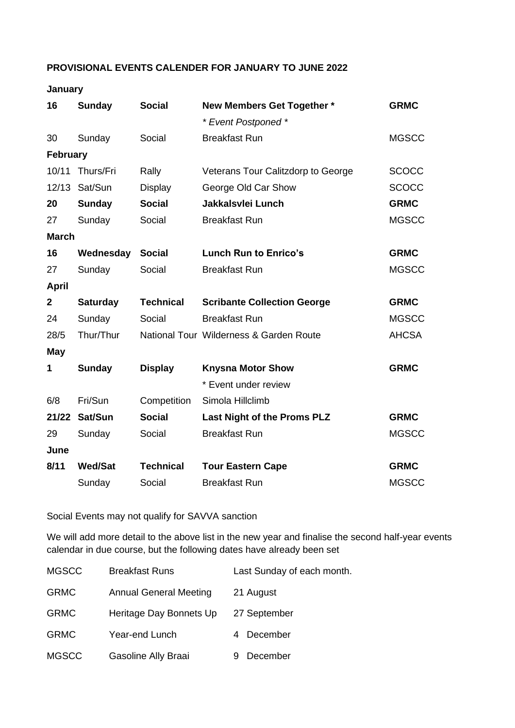#### **PROVISIONAL EVENTS CALENDER FOR JANUARY TO JUNE 2022**

#### **January**

| 16              | <b>Sunday</b>   | <b>Social</b>    | <b>New Members Get Together *</b>       | <b>GRMC</b>  |  |
|-----------------|-----------------|------------------|-----------------------------------------|--------------|--|
|                 |                 |                  | * Event Postponed *                     |              |  |
| 30              | Sunday          | Social           | <b>Breakfast Run</b>                    | <b>MGSCC</b> |  |
| <b>February</b> |                 |                  |                                         |              |  |
| 10/11           | Thurs/Fri       | Rally            | Veterans Tour Calitzdorp to George      | <b>SCOCC</b> |  |
|                 | 12/13 Sat/Sun   | Display          | George Old Car Show                     | <b>SCOCC</b> |  |
| 20              | <b>Sunday</b>   | <b>Social</b>    | <b>Jakkalsvlei Lunch</b>                | <b>GRMC</b>  |  |
| 27              | Sunday          | Social           | <b>Breakfast Run</b>                    | <b>MGSCC</b> |  |
| <b>March</b>    |                 |                  |                                         |              |  |
| 16              | Wednesday       | <b>Social</b>    | <b>Lunch Run to Enrico's</b>            | <b>GRMC</b>  |  |
| 27              | Sunday          | Social           | <b>Breakfast Run</b>                    | <b>MGSCC</b> |  |
| <b>April</b>    |                 |                  |                                         |              |  |
| $\mathbf{2}$    | <b>Saturday</b> | <b>Technical</b> | <b>Scribante Collection George</b>      | <b>GRMC</b>  |  |
| 24              | Sunday          | Social           | <b>Breakfast Run</b>                    | <b>MGSCC</b> |  |
| 28/5            | Thur/Thur       |                  | National Tour Wilderness & Garden Route | <b>AHCSA</b> |  |
| <b>May</b>      |                 |                  |                                         |              |  |
| 1               | <b>Sunday</b>   | <b>Display</b>   | <b>Knysna Motor Show</b>                | <b>GRMC</b>  |  |
|                 |                 |                  | * Event under review                    |              |  |
| 6/8             | Fri/Sun         | Competition      | Simola Hillclimb                        |              |  |
| 21/22           | Sat/Sun         | <b>Social</b>    | Last Night of the Proms PLZ             | <b>GRMC</b>  |  |
| 29              | Sunday          | Social           | <b>Breakfast Run</b>                    | <b>MGSCC</b> |  |
| June            |                 |                  |                                         |              |  |
| 8/11            | <b>Wed/Sat</b>  | <b>Technical</b> | <b>Tour Eastern Cape</b>                | <b>GRMC</b>  |  |
|                 | Sunday          | Social           | <b>Breakfast Run</b>                    | <b>MGSCC</b> |  |

Social Events may not qualify for SAVVA sanction

We will add more detail to the above list in the new year and finalise the second half-year events calendar in due course, but the following dates have already been set

| <b>MGSCC</b> | <b>Breakfast Runs</b>         | Last Sunday of each month. |
|--------------|-------------------------------|----------------------------|
| <b>GRMC</b>  | <b>Annual General Meeting</b> | 21 August                  |
| <b>GRMC</b>  | Heritage Day Bonnets Up       | 27 September               |
| <b>GRMC</b>  | Year-end Lunch                | December                   |
| <b>MGSCC</b> | Gasoline Ally Braai           | December                   |